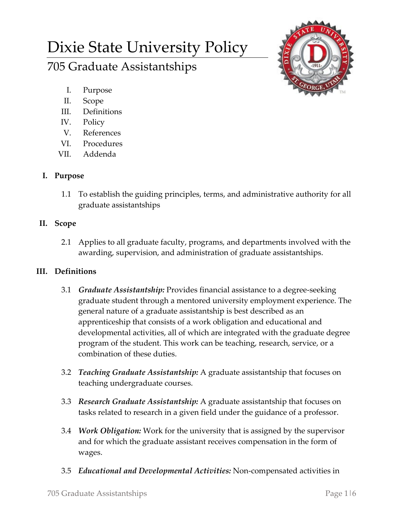# Dixie State University Policy

## 705 Graduate Assistantships

- I. Purpose
- II. Scope
- III. Definitions
- IV. Policy
- V. References
- VI. Procedures
- VII. Addenda

## **I. Purpose**

1.1 To establish the guiding principles, terms, and administrative authority for all graduate assistantships

## **II. Scope**

2.1 Applies to all graduate faculty, programs, and departments involved with the awarding, supervision, and administration of graduate assistantships.

## **III. Definitions**

- 3.1 *Graduate Assistantship:* Provides financial assistance to a degree-seeking graduate student through a mentored university employment experience. The general nature of a graduate assistantship is best described as an apprenticeship that consists of a work obligation and educational and developmental activities, all of which are integrated with the graduate degree program of the student. This work can be teaching, research, service, or a combination of these duties.
- 3.2 *Teaching Graduate Assistantship:* A graduate assistantship that focuses on teaching undergraduate courses.
- 3.3 *Research Graduate Assistantship:* A graduate assistantship that focuses on tasks related to research in a given field under the guidance of a professor.
- 3.4 *Work Obligation:* Work for the university that is assigned by the supervisor and for which the graduate assistant receives compensation in the form of wages.
- 3.5 *Educational and Developmental Activities:* Non-compensated activities in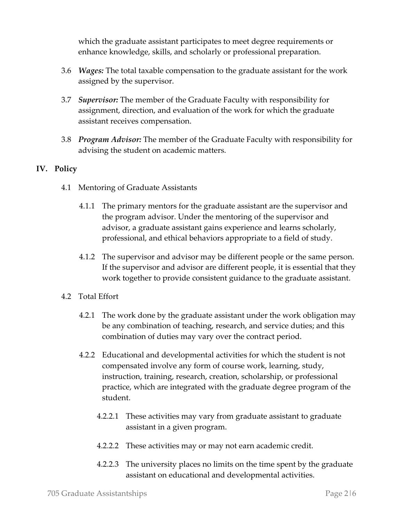which the graduate assistant participates to meet degree requirements or enhance knowledge, skills, and scholarly or professional preparation.

- 3.6 *Wages:* The total taxable compensation to the graduate assistant for the work assigned by the supervisor.
- 3.7 *Supervisor:* The member of the Graduate Faculty with responsibility for assignment, direction, and evaluation of the work for which the graduate assistant receives compensation.
- 3.8 *Program Advisor:* The member of the Graduate Faculty with responsibility for advising the student on academic matters.

### **IV. Policy**

- 4.1 Mentoring of Graduate Assistants
	- 4.1.1 The primary mentors for the graduate assistant are the supervisor and the program advisor. Under the mentoring of the supervisor and advisor, a graduate assistant gains experience and learns scholarly, professional, and ethical behaviors appropriate to a field of study.
	- 4.1.2 The supervisor and advisor may be different people or the same person. If the supervisor and advisor are different people, it is essential that they work together to provide consistent guidance to the graduate assistant.
- 4.2 Total Effort
	- 4.2.1 The work done by the graduate assistant under the work obligation may be any combination of teaching, research, and service duties; and this combination of duties may vary over the contract period.
	- 4.2.2 Educational and developmental activities for which the student is not compensated involve any form of course work, learning, study, instruction, training, research, creation, scholarship, or professional practice, which are integrated with the graduate degree program of the student.
		- 4.2.2.1 These activities may vary from graduate assistant to graduate assistant in a given program.
		- 4.2.2.2 These activities may or may not earn academic credit.
		- 4.2.2.3 The university places no limits on the time spent by the graduate assistant on educational and developmental activities.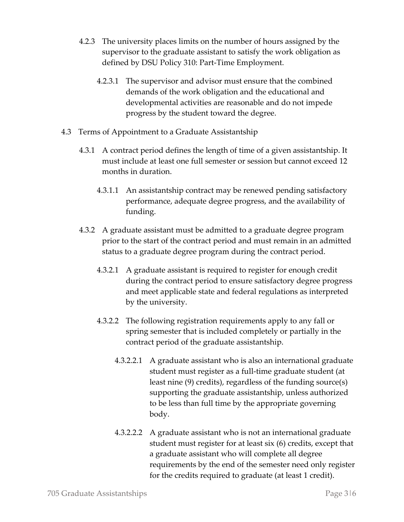- 4.2.3 The university places limits on the number of hours assigned by the supervisor to the graduate assistant to satisfy the work obligation as defined by DSU Policy 310: Part-Time Employment.
	- 4.2.3.1 The supervisor and advisor must ensure that the combined demands of the work obligation and the educational and developmental activities are reasonable and do not impede progress by the student toward the degree.
- 4.3 Terms of Appointment to a Graduate Assistantship
	- 4.3.1 A contract period defines the length of time of a given assistantship. It must include at least one full semester or session but cannot exceed 12 months in duration.
		- 4.3.1.1 An assistantship contract may be renewed pending satisfactory performance, adequate degree progress, and the availability of funding.
	- 4.3.2 A graduate assistant must be admitted to a graduate degree program prior to the start of the contract period and must remain in an admitted status to a graduate degree program during the contract period.
		- 4.3.2.1 A graduate assistant is required to register for enough credit during the contract period to ensure satisfactory degree progress and meet applicable state and federal regulations as interpreted by the university.
		- 4.3.2.2 The following registration requirements apply to any fall or spring semester that is included completely or partially in the contract period of the graduate assistantship.
			- 4.3.2.2.1 A graduate assistant who is also an international graduate student must register as a full-time graduate student (at least nine (9) credits), regardless of the funding source(s) supporting the graduate assistantship, unless authorized to be less than full time by the appropriate governing body.
			- 4.3.2.2.2 A graduate assistant who is not an international graduate student must register for at least six (6) credits, except that a graduate assistant who will complete all degree requirements by the end of the semester need only register for the credits required to graduate (at least 1 credit).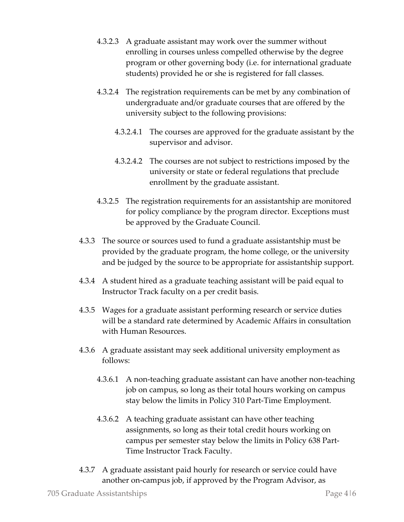- 4.3.2.3 A graduate assistant may work over the summer without enrolling in courses unless compelled otherwise by the degree program or other governing body (i.e. for international graduate students) provided he or she is registered for fall classes.
- 4.3.2.4 The registration requirements can be met by any combination of undergraduate and/or graduate courses that are offered by the university subject to the following provisions:
	- 4.3.2.4.1 The courses are approved for the graduate assistant by the supervisor and advisor.
	- 4.3.2.4.2 The courses are not subject to restrictions imposed by the university or state or federal regulations that preclude enrollment by the graduate assistant.
- 4.3.2.5 The registration requirements for an assistantship are monitored for policy compliance by the program director. Exceptions must be approved by the Graduate Council.
- 4.3.3 The source or sources used to fund a graduate assistantship must be provided by the graduate program, the home college, or the university and be judged by the source to be appropriate for assistantship support.
- 4.3.4 A student hired as a graduate teaching assistant will be paid equal to Instructor Track faculty on a per credit basis.
- 4.3.5 Wages for a graduate assistant performing research or service duties will be a standard rate determined by Academic Affairs in consultation with Human Resources.
- 4.3.6 A graduate assistant may seek additional university employment as follows:
	- 4.3.6.1 A non-teaching graduate assistant can have another non-teaching job on campus, so long as their total hours working on campus stay below the limits in Policy 310 Part-Time Employment.
	- 4.3.6.2 A teaching graduate assistant can have other teaching assignments, so long as their total credit hours working on campus per semester stay below the limits in Policy 638 Part-Time Instructor Track Faculty.
- 4.3.7 A graduate assistant paid hourly for research or service could have another on-campus job, if approved by the Program Advisor, as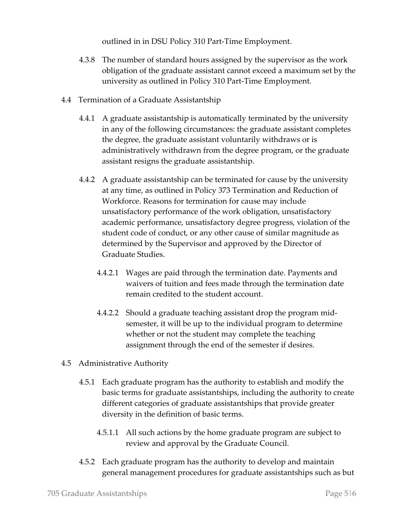outlined in in DSU Policy 310 Part-Time Employment.

- 4.3.8 The number of standard hours assigned by the supervisor as the work obligation of the graduate assistant cannot exceed a maximum set by the university as outlined in Policy 310 Part-Time Employment.
- 4.4 Termination of a Graduate Assistantship
	- 4.4.1 A graduate assistantship is automatically terminated by the university in any of the following circumstances: the graduate assistant completes the degree, the graduate assistant voluntarily withdraws or is administratively withdrawn from the degree program, or the graduate assistant resigns the graduate assistantship.
	- 4.4.2 A graduate assistantship can be terminated for cause by the university at any time, as outlined in Policy 373 Termination and Reduction of Workforce. Reasons for termination for cause may include unsatisfactory performance of the work obligation, unsatisfactory academic performance, unsatisfactory degree progress, violation of the student code of conduct, or any other cause of similar magnitude as determined by the Supervisor and approved by the Director of Graduate Studies.
		- 4.4.2.1 Wages are paid through the termination date. Payments and waivers of tuition and fees made through the termination date remain credited to the student account.
		- 4.4.2.2 Should a graduate teaching assistant drop the program midsemester, it will be up to the individual program to determine whether or not the student may complete the teaching assignment through the end of the semester if desires.
- 4.5 Administrative Authority
	- 4.5.1 Each graduate program has the authority to establish and modify the basic terms for graduate assistantships, including the authority to create different categories of graduate assistantships that provide greater diversity in the definition of basic terms.
		- 4.5.1.1 All such actions by the home graduate program are subject to review and approval by the Graduate Council.
	- 4.5.2 Each graduate program has the authority to develop and maintain general management procedures for graduate assistantships such as but